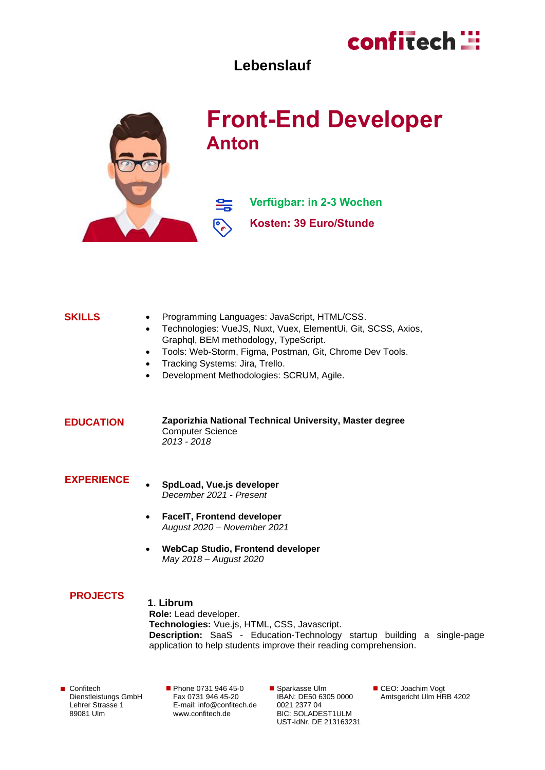# confitech ::

# **Lebenslauf**



# **SKILLS** • Programming Languages: JavaScript, HTML/CSS.

|                   | Technologies: VueJS, Nuxt, Vuex, ElementUi, Git, SCSS, Axios,<br>$\bullet$<br>Graphql, BEM methodology, TypeScript.<br>Tools: Web-Storm, Figma, Postman, Git, Chrome Dev Tools.<br>$\bullet$<br>Tracking Systems: Jira, Trello.<br>$\bullet$<br>Development Methodologies: SCRUM, Agile. |
|-------------------|------------------------------------------------------------------------------------------------------------------------------------------------------------------------------------------------------------------------------------------------------------------------------------------|
| <b>EDUCATION</b>  | Zaporizhia National Technical University, Master degree<br><b>Computer Science</b><br>2013 - 2018                                                                                                                                                                                        |
| <b>EXPERIENCE</b> | SpdLoad, Vue.js developer<br>December 2021 - Present<br><b>FacelT, Frontend developer</b><br>$\bullet$<br>August 2020 - November 2021<br><b>WebCap Studio, Frontend developer</b><br>$\bullet$<br>May 2018 - August 2020                                                                 |
| <b>PROJECTS</b>   | 1. Librum<br>Role: Lead developer.<br>Technologies: Vue.js, HTML, CSS, Javascript.<br><b>Description:</b> SaaS - Education-Technology startup building a single-page<br>application to help students improve their reading comprehension.                                                |

Confitech Dienstleistungs GmbH Lehrer Strasse 1 89081 Ulm

Phone 0731 946 45-0 Fax 0731 946 45-20 E-mail[: info@confitech.de](mailto:info@confitech.de) www.confitech.de

■ Sparkasse Ulm IBAN: DE50 6305 0000 0021 2377 04 BIC: SOLADEST1ULM UST-IdNr. DE 213163231

CEO: Joachim Vogt Amtsgericht Ulm HRB 4202